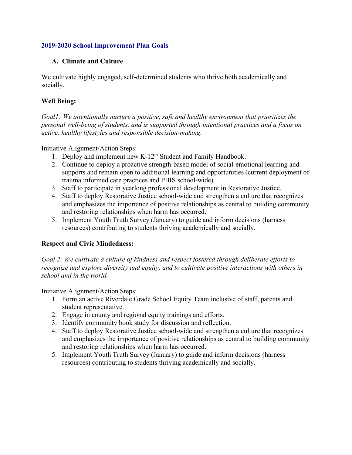## **2019-2020 School Improvement Plan Goals**

## **A. Climate and Culture**

We cultivate highly engaged, self-determined students who thrive both academically and socially.

## **Well Being:**

*Goal1: We intentionally nurture a positive, safe and healthy environment that prioritizes the personal well-being of students, and is supported through intentional practices and a focus on active, healthy lifestyles and responsible decision-making.* 

Initiative Alignment/Action Steps:

- 1. Deploy and implement new K-12<sup>th</sup> Student and Family Handbook.
- 2. Continue to deploy a proactive strength-based model of social-emotional learning and supports and remain open to additional learning and opportunities (current deployment of trauma informed care practices and PBIS school-wide).
- 3. Staff to participate in yearlong professional development in Restorative Justice.
- 4. Staff to deploy Restorative Justice school-wide and strengthen a culture that recognizes and emphasizes the importance of positive relationships as central to building community and restoring relationships when harm has occurred.
- 5. Implement Youth Truth Survey (January) to guide and inform decisions (harness resources) contributing to students thriving academically and socially.

# **Respect and Civic Mindedness:**

*Goal 2: We cultivate a culture of kindness and respect fostered through deliberate efforts to recognize and explore diversity and equity, and to cultivate positive interactions with others in school and in the world.* 

Initiative Alignment/Action Steps:

- 1. Form an active Riverdale Grade School Equity Team inclusive of staff, parents and student representative.
- 2. Engage in county and regional equity trainings and efforts.
- 3. Identify community book study for discussion and reflection.
- 4. Staff to deploy Restorative Justice school-wide and strengthen a culture that recognizes and emphasizes the importance of positive relationships as central to building community and restoring relationships when harm has occurred.
- 5. Implement Youth Truth Survey (January) to guide and inform decisions (harness resources) contributing to students thriving academically and socially.